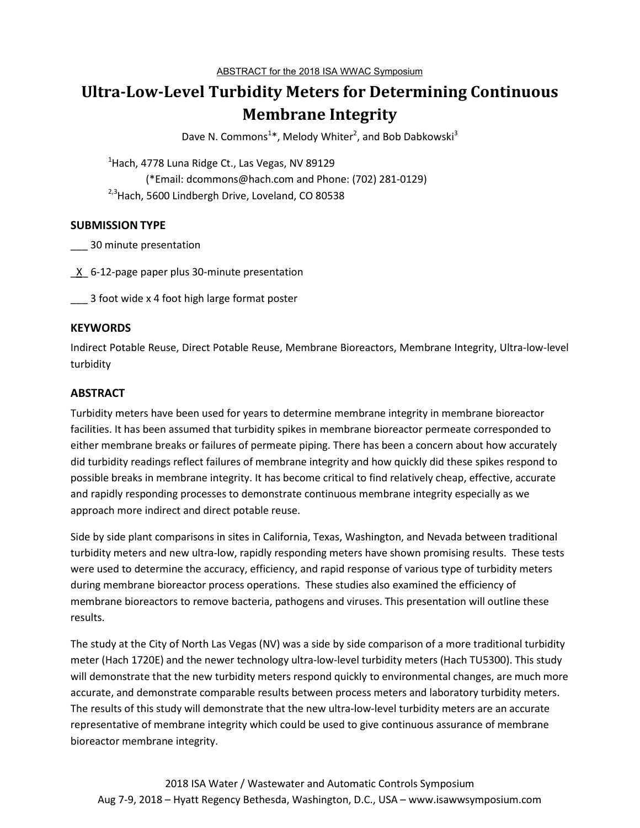# **Ultra-Low-Level Turbidity Meters for Determining Continuous Membrane Integrity**

Dave N. Commons<sup>1</sup>\*, Melody Whiter<sup>2</sup>, and Bob Dabkowski<sup>3</sup>

 $1$ Hach, 4778 Luna Ridge Ct., Las Vegas, NV 89129 (\*Email: dcommons@hach.com and Phone: (702) 281-0129)  $2,3$ Hach, 5600 Lindbergh Drive, Loveland, CO 80538

## **SUBMISSION TYPE**

\_\_\_ 30 minute presentation

\_X\_ 6-12-page paper plus 30-minute presentation

3 foot wide x 4 foot high large format poster

## **KEYWORDS**

Indirect Potable Reuse, Direct Potable Reuse, Membrane Bioreactors, Membrane Integrity, Ultra-low-level turbidity

## **ABSTRACT**

Turbidity meters have been used for years to determine membrane integrity in membrane bioreactor facilities. It has been assumed that turbidity spikes in membrane bioreactor permeate corresponded to either membrane breaks or failures of permeate piping. There has been a concern about how accurately did turbidity readings reflect failures of membrane integrity and how quickly did these spikes respond to possible breaks in membrane integrity. It has become critical to find relatively cheap, effective, accurate and rapidly responding processes to demonstrate continuous membrane integrity especially as we approach more indirect and direct potable reuse.

Side by side plant comparisons in sites in California, Texas, Washington, and Nevada between traditional turbidity meters and new ultra-low, rapidly responding meters have shown promising results. These tests were used to determine the accuracy, efficiency, and rapid response of various type of turbidity meters during membrane bioreactor process operations. These studies also examined the efficiency of membrane bioreactors to remove bacteria, pathogens and viruses. This presentation will outline these results.

The study at the City of North Las Vegas (NV) was a side by side comparison of a more traditional turbidity meter (Hach 1720E) and the newer technology ultra-low-level turbidity meters (Hach TU5300). This study will demonstrate that the new turbidity meters respond quickly to environmental changes, are much more accurate, and demonstrate comparable results between process meters and laboratory turbidity meters. The results of this study will demonstrate that the new ultra-low-level turbidity meters are an accurate representative of membrane integrity which could be used to give continuous assurance of membrane bioreactor membrane integrity.